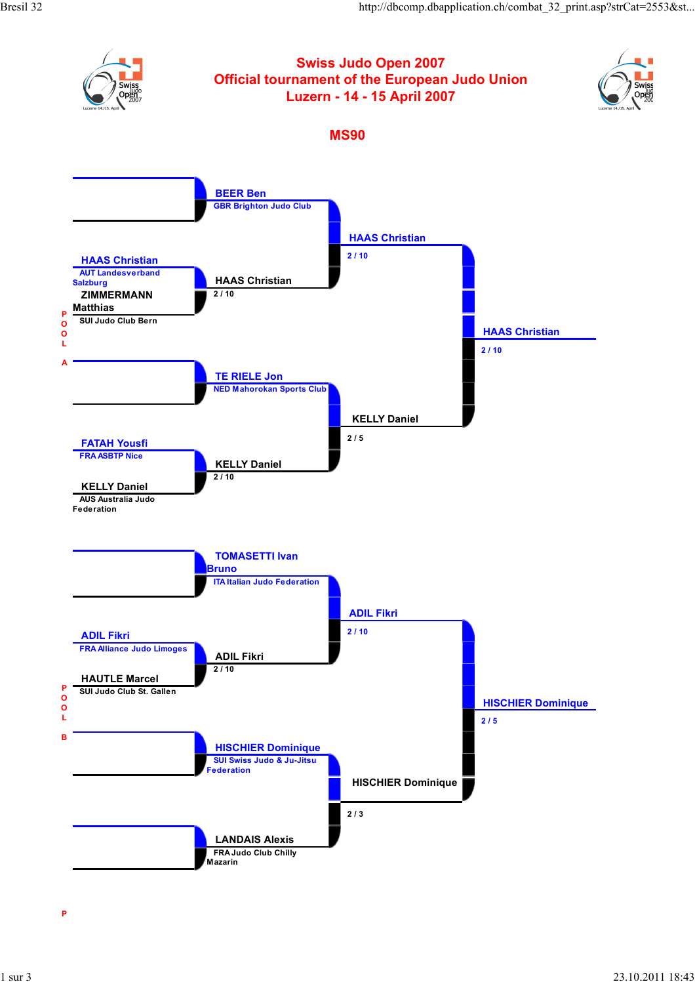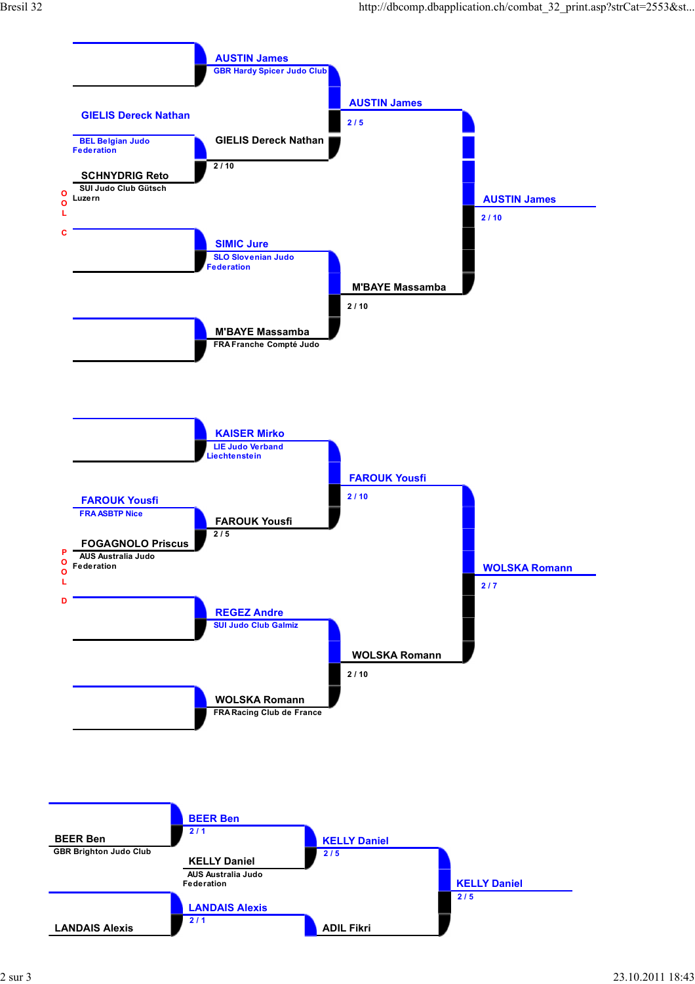